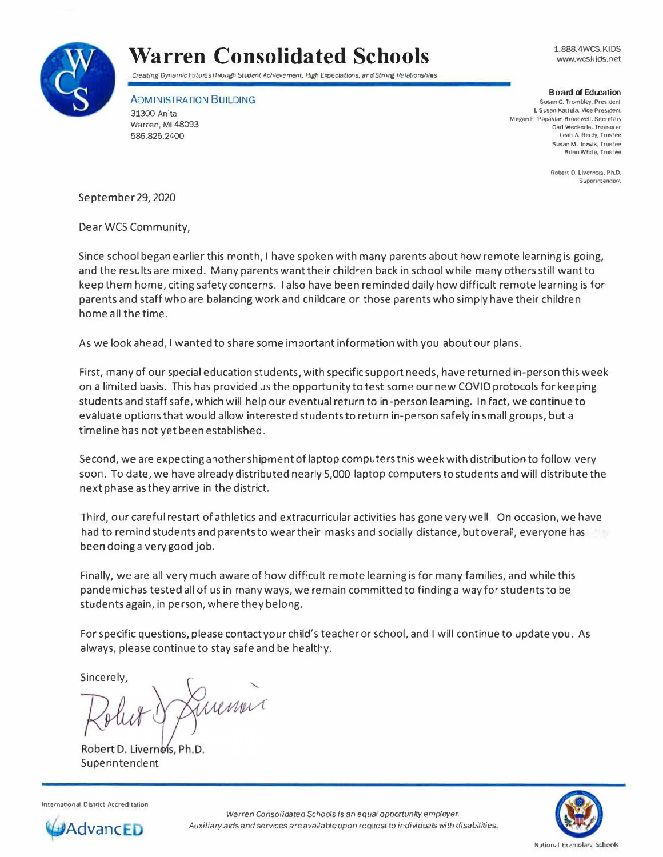

## **Warren Consolidated Schools**

*Creating Dynamic Futures through Student Achievement, High Expectations, and Strong Relationships* 

ADMINISTRATION BUILDING

31300 Anita Warren, Ml 48093 586.825.2400

1.888.4WCS. KIDS www.wcskids.net

## Board of Education

Susan G. Trombley, President I. Susan Kaltula, Vice President Megen E. Papaslan-Broadwell. Secreta,y Carl Weckerle. Treasurer Leah A Berdy. Trustee Susan M. Jozwik, Trustee Btlan White. Trustee

> Robert D. Livernois, Ph.D. Superintendent

September 29, 2020

Dear WCS Community,

Since school began earlierthis month, I have spoken with many parents about how remote learning is going, and the results are mixed. Many parents want their children back in school while many others still wantto keep them home, citing safety concerns. I also have been reminded daily how difficult remote learning is for parents and staff who are balancing work and childcare or those parents who simply have their children home all the time.

As we look ahead, I wanted to share some important information with you about our plans.

First, many of our special education students, with specific support needs, have returned in-person this week on a limited basis. This has provided us the opportunity to test some our new COVID protocols for keeping students and staff safe, which will help our eventual return to in-person learning. In fact, we continue to evaluate options that would allow interested students to return in-person safely in small groups, but a time line has not yet been established.

Second, we are expecting another shipment of laptop computers this week with distribution to follow very soon. To date, we have already distributed nearly 5,000 laptop computers to students and will distribute the next phase as they arrive in the district.

Third, our careful restart of athletics and extracurricular activities has gone very well. On occasion, we have had to remind students and parents to wear their masks and socially distance, but overall, everyone has been doing a very good job.

Finally, we are all very much aware of how difficult remote learning is for many families, and while this pandemic has tested all of us in manyways, we remain committed to finding a way for students to be students again, in person, where they belong.

For specific questions, please contact your child's teacher or school, and I will continue to update you. As always, please continue to stay safe and be healthy.

Sincerely,

Suena

Robert D. Livernois, Ph.D. Superintendent



International District Accreditation



*Warren Consolidated* Schools is *an equal opportunity employer.* **Advanc** *Auxiliary aids* and *services are available upon* request to *individuals* with disabilities.